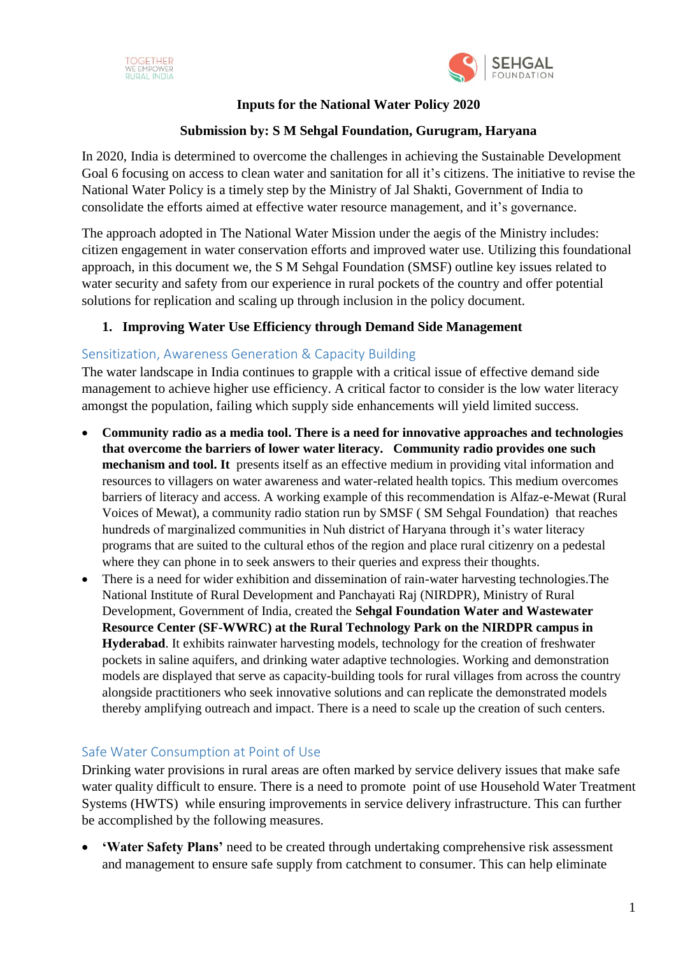

## **Inputs for the National Water Policy 2020**

# **Submission by: S M Sehgal Foundation, Gurugram, Haryana**

In 2020, India is determined to overcome the challenges in achieving the Sustainable Development Goal 6 focusing on access to clean water and sanitation for all it's citizens. The initiative to revise the National Water Policy is a timely step by the Ministry of Jal Shakti, Government of India to consolidate the efforts aimed at effective water resource management, and it's governance.

The approach adopted in The National Water Mission under the aegis of the Ministry includes: citizen engagement in water conservation efforts and improved water use. Utilizing this foundational approach, in this document we, the S M Sehgal Foundation (SMSF) outline key issues related to water security and safety from our experience in rural pockets of the country and offer potential solutions for replication and scaling up through inclusion in the policy document.

# **1. Improving Water Use Efficiency through Demand Side Management**

# Sensitization, Awareness Generation & Capacity Building

The water landscape in India continues to grapple with a critical issue of effective demand side management to achieve higher use efficiency. A critical factor to consider is the low water literacy amongst the population, failing which supply side enhancements will yield limited success.

- **Community radio as a media tool. There is a need for innovative approaches and technologies that overcome the barriers of lower water literacy. Community radio provides one such mechanism and tool. It** presents itself as an effective medium in providing vital information and resources to villagers on water awareness and water-related health topics. This medium overcomes barriers of literacy and access. A working example of this recommendation is Alfaz-e-Mewat (Rural Voices of Mewat), a community radio station run by SMSF ( SM Sehgal Foundation) that reaches hundreds of marginalized communities in Nuh district of Haryana through it's water literacy programs that are suited to the cultural ethos of the region and place rural citizenry on a pedestal where they can phone in to seek answers to their queries and express their thoughts.
- There is a need for wider exhibition and dissemination of rain-water harvesting technologies.The National Institute of Rural Development and Panchayati Raj (NIRDPR), Ministry of Rural Development, Government of India, created the **Sehgal Foundation Water and Wastewater Resource Center (SF-WWRC) at the Rural Technology Park on the NIRDPR campus in Hyderabad**. It exhibits rainwater harvesting models, technology for the creation of freshwater pockets in saline aquifers, and drinking water adaptive technologies. Working and demonstration models are displayed that serve as capacity-building tools for rural villages from across the country alongside practitioners who seek innovative solutions and can replicate the demonstrated models thereby amplifying outreach and impact. There is a need to scale up the creation of such centers.

## Safe Water Consumption at Point of Use

Drinking water provisions in rural areas are often marked by service delivery issues that make safe water quality difficult to ensure. There is a need to promote point of use Household Water Treatment Systems (HWTS) while ensuring improvements in service delivery infrastructure. This can further be accomplished by the following measures.

 **'Water Safety Plans'** need to be created through undertaking comprehensive risk assessment and management to ensure safe supply from catchment to consumer. This can help eliminate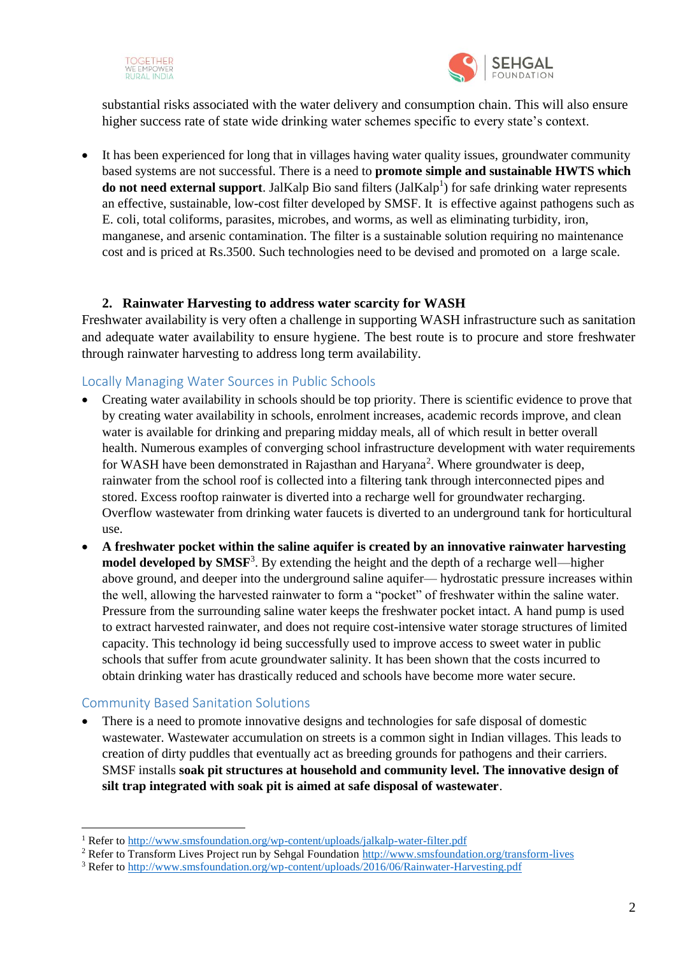



substantial risks associated with the water delivery and consumption chain. This will also ensure higher success rate of state wide drinking water schemes specific to every state's context.

 It has been experienced for long that in villages having water quality issues, groundwater community based systems are not successful. There is a need to **promote simple and sustainable HWTS which do not need external support**. JalKalp Bio sand filters (JalKalp<sup>1</sup>) for safe drinking water represents an effective, sustainable, low-cost filter developed by SMSF. It is effective against pathogens such as E. coli, total coliforms, parasites, microbes, and worms, as well as eliminating turbidity, iron, manganese, and arsenic contamination. The filter is a sustainable solution requiring no maintenance cost and is priced at Rs.3500. Such technologies need to be devised and promoted on a large scale.

#### **2. Rainwater Harvesting to address water scarcity for WASH**

Freshwater availability is very often a challenge in supporting WASH infrastructure such as sanitation and adequate water availability to ensure hygiene. The best route is to procure and store freshwater through rainwater harvesting to address long term availability.

#### Locally Managing Water Sources in Public Schools

- Creating water availability in schools should be top priority. There is scientific evidence to prove that by creating water availability in schools, enrolment increases, academic records improve, and clean water is available for drinking and preparing midday meals, all of which result in better overall health. Numerous examples of converging school infrastructure development with water requirements for WASH have been demonstrated in Rajasthan and Haryana<sup>2</sup>. Where groundwater is deep, rainwater from the school roof is collected into a filtering tank through interconnected pipes and stored. Excess rooftop rainwater is diverted into a recharge well for groundwater recharging. Overflow wastewater from drinking water faucets is diverted to an underground tank for horticultural use.
- **A freshwater pocket within the saline aquifer is created by an innovative rainwater harvesting**  model developed by SMSF<sup>3</sup>. By extending the height and the depth of a recharge well—higher above ground, and deeper into the underground saline aquifer— hydrostatic pressure increases within the well, allowing the harvested rainwater to form a "pocket" of freshwater within the saline water. Pressure from the surrounding saline water keeps the freshwater pocket intact. A hand pump is used to extract harvested rainwater, and does not require cost-intensive water storage structures of limited capacity. This technology id being successfully used to improve access to sweet water in public schools that suffer from acute groundwater salinity. It has been shown that the costs incurred to obtain drinking water has drastically reduced and schools have become more water secure.

## Community Based Sanitation Solutions

1

 There is a need to promote innovative designs and technologies for safe disposal of domestic wastewater. Wastewater accumulation on streets is a common sight in Indian villages. This leads to creation of dirty puddles that eventually act as breeding grounds for pathogens and their carriers. SMSF installs **soak pit structures at household and community level. The innovative design of silt trap integrated with soak pit is aimed at safe disposal of wastewater**.

<sup>&</sup>lt;sup>1</sup> Refer t[o http://www.smsfoundation.org/wp-content/uploads/jalkalp-water-filter.pdf](http://www.smsfoundation.org/wp-content/uploads/jalkalp-water-filter.pdf)

<sup>&</sup>lt;sup>2</sup> Refer to Transform Lives Project run by Sehgal Foundation<http://www.smsfoundation.org/transform-lives>

<sup>3</sup> Refer t[o http://www.smsfoundation.org/wp-content/uploads/2016/06/Rainwater-Harvesting.pdf](http://www.smsfoundation.org/wp-content/uploads/2016/06/Rainwater-Harvesting.pdf)